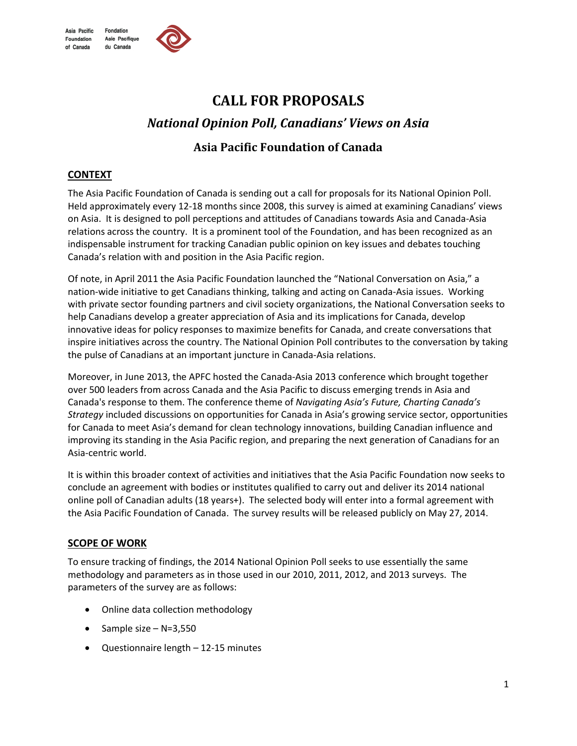# **CALL FOR PROPOSALS**

## *National Opinion Poll, Canadians' Views on Asia*

## **Asia Pacific Foundation of Canada**

### **CONTEXT**

The Asia Pacific Foundation of Canada is sending out a call for proposals for its National Opinion Poll. Held approximately every 12-18 months since 2008, this survey is aimed at examining Canadians' views on Asia. It is designed to poll perceptions and attitudes of Canadians towards Asia and Canada-Asia relations across the country. It is a prominent tool of the Foundation, and has been recognized as an indispensable instrument for tracking Canadian public opinion on key issues and debates touching Canada's relation with and position in the Asia Pacific region.

Of note, in April 2011 the Asia Pacific Foundation launched the "National Conversation on Asia," a nation-wide initiative to get Canadians thinking, talking and acting on Canada-Asia issues. Working with [private sector founding partners](http://www.asiapacific.ca/thenationalconversationonasia/our-partners) and [civil society organizations,](http://www.asiapacific.ca/thenationalconversationonasia/our-partners/supporting-organizations) the National Conversation seeks to help Canadians develop a greater appreciation of Asia and its implications for Canada, develop innovative ideas for policy responses to maximize benefits for Canada, and create conversations that inspire initiatives across the country. The National Opinion Poll contributes to the conversation by taking the pulse of Canadians at an important juncture in Canada-Asia relations.

Moreover, in June 2013, the APFC hosted the Canada-Asia 2013 conference which brought together over 500 leaders from across Canada and the Asia Pacific to discuss emerging trends in Asia and Canada's response to them. The conference theme of *Navigating Asia's Future, Charting Canada's Strategy* included discussions on opportunities for Canada in Asia's growing service sector, opportunities for Canada to meet Asia's demand for clean technology innovations, building Canadian influence and improving its standing in the Asia Pacific region, and preparing the next generation of Canadians for an Asia-centric world.

It is within this broader context of activities and initiatives that the Asia Pacific Foundation now seeks to conclude an agreement with bodies or institutes qualified to carry out and deliver its 2014 national online poll of Canadian adults (18 years+). The selected body will enter into a formal agreement with the Asia Pacific Foundation of Canada. The survey results will be released publicly on May 27, 2014.

### **SCOPE OF WORK**

To ensure tracking of findings, the 2014 National Opinion Poll seeks to use essentially the same methodology and parameters as in those used in our 2010, 2011, 2012, and 2013 surveys. The parameters of the survey are as follows:

- Online data collection methodology
- Sample size N=3,550
- Questionnaire length 12-15 minutes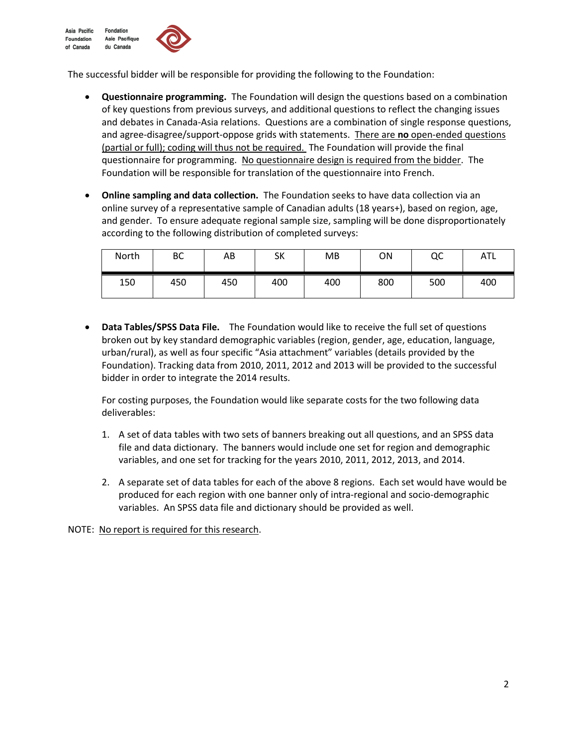The successful bidder will be responsible for providing the following to the Foundation:

- **Questionnaire programming.** The Foundation will design the questions based on a combination of key questions from previous surveys, and additional questions to reflect the changing issues and debates in Canada-Asia relations. Questions are a combination of single response questions, and agree-disagree/support-oppose grids with statements. There are **no** open-ended questions (partial or full); coding will thus not be required. The Foundation will provide the final questionnaire for programming. No questionnaire design is required from the bidder. The Foundation will be responsible for translation of the questionnaire into French.
- **Online sampling and data collection.** The Foundation seeks to have data collection via an online survey of a representative sample of Canadian adults (18 years+), based on region, age, and gender. To ensure adequate regional sample size, sampling will be done disproportionately according to the following distribution of completed surveys:

| North | ВC  | AB  | SK  | MВ  | ΟN  | QC  | <b>ATL</b> |
|-------|-----|-----|-----|-----|-----|-----|------------|
| 150   | 450 | 450 | 400 | 400 | 800 | 500 | 400        |

 **Data Tables/SPSS Data File.** The Foundation would like to receive the full set of questions broken out by key standard demographic variables (region, gender, age, education, language, urban/rural), as well as four specific "Asia attachment" variables (details provided by the Foundation). Tracking data from 2010, 2011, 2012 and 2013 will be provided to the successful bidder in order to integrate the 2014 results.

For costing purposes, the Foundation would like separate costs for the two following data deliverables:

- 1. A set of data tables with two sets of banners breaking out all questions, and an SPSS data file and data dictionary. The banners would include one set for region and demographic variables, and one set for tracking for the years 2010, 2011, 2012, 2013, and 2014.
- 2. A separate set of data tables for each of the above 8 regions. Each set would have would be produced for each region with one banner only of intra-regional and socio-demographic variables. An SPSS data file and dictionary should be provided as well.

NOTE: No report is required for this research.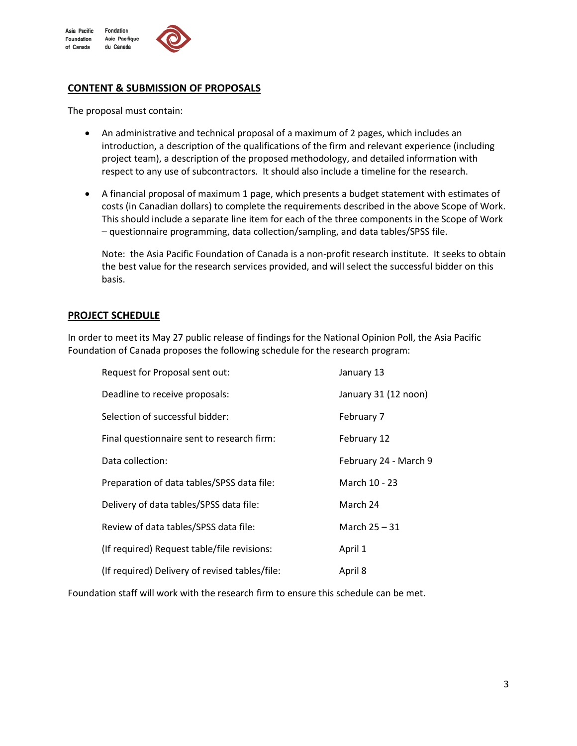

#### **CONTENT & SUBMISSION OF PROPOSALS**

The proposal must contain:

- An administrative and technical proposal of a maximum of 2 pages, which includes an introduction, a description of the qualifications of the firm and relevant experience (including project team), a description of the proposed methodology, and detailed information with respect to any use of subcontractors. It should also include a timeline for the research.
- A financial proposal of maximum 1 page, which presents a budget statement with estimates of costs (in Canadian dollars) to complete the requirements described in the above Scope of Work. This should include a separate line item for each of the three components in the Scope of Work – questionnaire programming, data collection/sampling, and data tables/SPSS file.

Note: the Asia Pacific Foundation of Canada is a non-profit research institute. It seeks to obtain the best value for the research services provided, and will select the successful bidder on this basis.

#### **PROJECT SCHEDULE**

In order to meet its May 27 public release of findings for the National Opinion Poll, the Asia Pacific Foundation of Canada proposes the following schedule for the research program:

| Request for Proposal sent out:                 | January 13            |
|------------------------------------------------|-----------------------|
| Deadline to receive proposals:                 | January 31 (12 noon)  |
| Selection of successful bidder:                | February 7            |
| Final questionnaire sent to research firm:     | February 12           |
| Data collection:                               | February 24 - March 9 |
| Preparation of data tables/SPSS data file:     | March 10 - 23         |
| Delivery of data tables/SPSS data file:        | March 24              |
| Review of data tables/SPSS data file:          | March 25 - 31         |
| (If required) Request table/file revisions:    | April 1               |
| (If required) Delivery of revised tables/file: | April 8               |

Foundation staff will work with the research firm to ensure this schedule can be met.